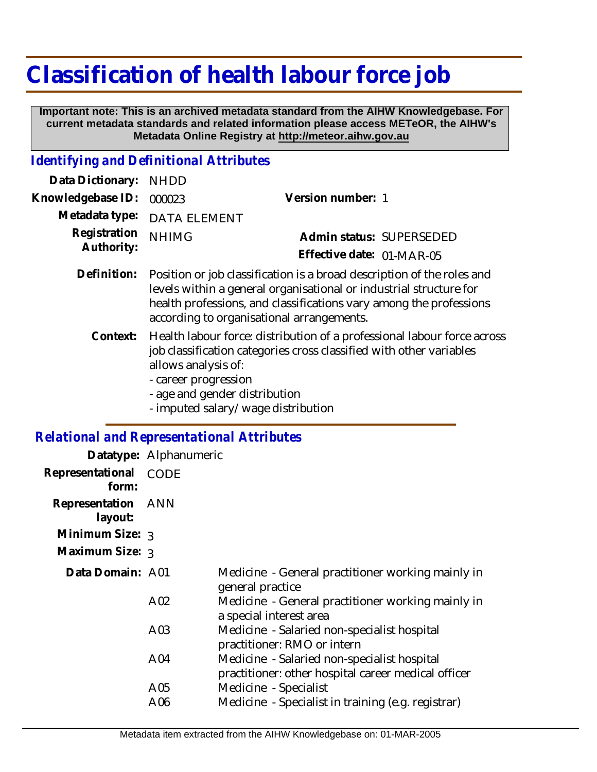## **Classification of health labour force job**

 **Important note: This is an archived metadata standard from the AIHW Knowledgebase. For current metadata standards and related information please access METeOR, the AIHW's Metadata Online Registry at http://meteor.aihw.gov.au**

## *Identifying and Definitional Attributes*

| Data Dictionary:                                  | <b>NHDD</b>                                                                                                                                                                                                                                                          |                           |  |
|---------------------------------------------------|----------------------------------------------------------------------------------------------------------------------------------------------------------------------------------------------------------------------------------------------------------------------|---------------------------|--|
| Knowledgebase ID:                                 | 000023                                                                                                                                                                                                                                                               | Version number: 1         |  |
| Metadata type:                                    | <b>DATA ELEMENT</b>                                                                                                                                                                                                                                                  |                           |  |
| Registration<br>Authority:                        | <b>NHIMG</b>                                                                                                                                                                                                                                                         | Admin status: SUPERSEDED  |  |
|                                                   |                                                                                                                                                                                                                                                                      | Effective date: 01-MAR-05 |  |
| Definition:                                       | Position or job classification is a broad description of the roles and<br>levels within a general organisational or industrial structure for<br>health professions, and classifications vary among the professions<br>according to organisational arrangements.      |                           |  |
| Context:                                          | Health labour force: distribution of a professional labour force across<br>job classification categories cross classified with other variables<br>allows analysis of:<br>- career progression<br>- age and gender distribution<br>- imputed salary/wage distribution |                           |  |
| <b>Relational and Representational Attributes</b> |                                                                                                                                                                                                                                                                      |                           |  |
|                                                   |                                                                                                                                                                                                                                                                      |                           |  |

|                               | Datatype: Alphanumeric |                                                                                                    |
|-------------------------------|------------------------|----------------------------------------------------------------------------------------------------|
| Representational<br>form:     | <b>CODE</b>            |                                                                                                    |
| Representation ANN<br>layout: |                        |                                                                                                    |
| Minimum Size: 3               |                        |                                                                                                    |
| Maximum Size: 3               |                        |                                                                                                    |
| Data Domain: A01              |                        | Medicine - General practitioner working mainly in<br>general practice                              |
|                               | A <sub>02</sub>        | Medicine - General practitioner working mainly in<br>a special interest area                       |
|                               | A <sub>03</sub>        | Medicine - Salaried non-specialist hospital<br>practitioner: RMO or intern                         |
|                               | A04                    | Medicine - Salaried non-specialist hospital<br>practitioner: other hospital career medical officer |
|                               | A05                    | Medicine - Specialist                                                                              |
|                               | A06                    | Medicine - Specialist in training (e.g. registrar)                                                 |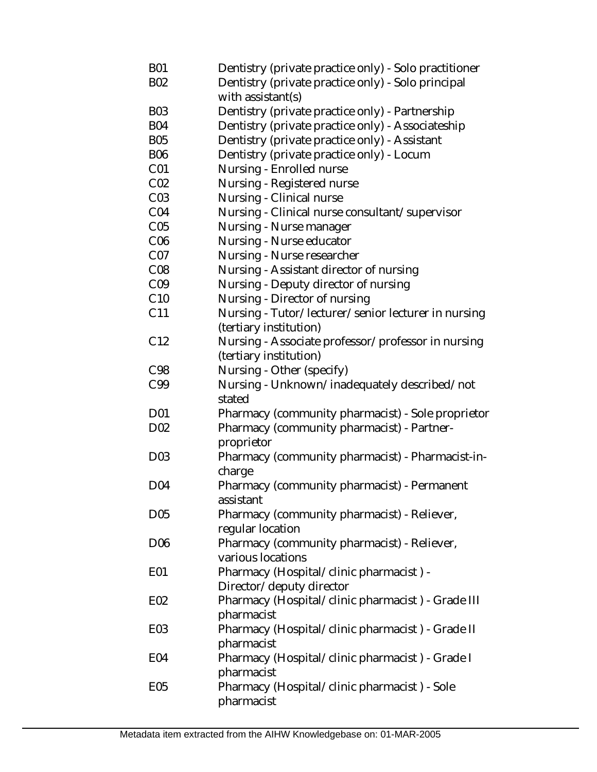| <b>B01</b><br><b>B02</b> | Dentistry (private practice only) - Solo practitioner<br>Dentistry (private practice only) - Solo principal |
|--------------------------|-------------------------------------------------------------------------------------------------------------|
|                          | with assistant(s)                                                                                           |
| <b>B03</b>               | Dentistry (private practice only) - Partnership                                                             |
| <b>B04</b>               | Dentistry (private practice only) - Associateship                                                           |
| <b>B05</b>               | Dentistry (private practice only) - Assistant                                                               |
| <b>B06</b>               | Dentistry (private practice only) - Locum                                                                   |
| CO <sub>1</sub>          | Nursing - Enrolled nurse                                                                                    |
| CO <sub>2</sub>          | Nursing - Registered nurse                                                                                  |
| CO <sub>3</sub>          | Nursing - Clinical nurse                                                                                    |
| CO <sub>4</sub>          | Nursing - Clinical nurse consultant/supervisor                                                              |
| C <sub>05</sub>          | Nursing - Nurse manager                                                                                     |
| C <sub>06</sub>          | Nursing - Nurse educator                                                                                    |
| CO <sub>7</sub>          | Nursing - Nurse researcher                                                                                  |
| CO8                      | Nursing - Assistant director of nursing                                                                     |
| C <sub>09</sub>          | Nursing - Deputy director of nursing                                                                        |
| C10                      | Nursing - Director of nursing                                                                               |
| C11                      | Nursing - Tutor/lecturer/senior lecturer in nursing                                                         |
|                          | (tertiary institution)                                                                                      |
| C <sub>12</sub>          | Nursing - Associate professor/professor in nursing                                                          |
|                          | (tertiary institution)                                                                                      |
| C98                      | Nursing - Other (specify)                                                                                   |
| C99                      | Nursing - Unknown/inadequately described/not                                                                |
|                          | stated                                                                                                      |
| D <sub>01</sub>          | Pharmacy (community pharmacist) - Sole proprietor                                                           |
| D <sub>02</sub>          | Pharmacy (community pharmacist) - Partner-                                                                  |
|                          | proprietor                                                                                                  |
| D03                      | Pharmacy (community pharmacist) - Pharmacist-in-                                                            |
|                          | charge                                                                                                      |
| D04                      | Pharmacy (community pharmacist) - Permanent                                                                 |
|                          | assistant                                                                                                   |
| D <sub>05</sub>          | Pharmacy (community pharmacist) - Reliever,                                                                 |
|                          | reqular location                                                                                            |
| D <sub>06</sub>          | Pharmacy (community pharmacist) - Reliever,                                                                 |
|                          | various locations                                                                                           |
| E01                      | Pharmacy (Hospital/clinic pharmacist) -                                                                     |
|                          | Director/deputy director                                                                                    |
| E02                      | Pharmacy (Hospital/clinic pharmacist) - Grade III                                                           |
|                          | pharmacist                                                                                                  |
| E03                      | Pharmacy (Hospital/clinic pharmacist) - Grade II                                                            |
|                          | pharmacist                                                                                                  |
| E04                      | Pharmacy (Hospital/clinic pharmacist) - Grade I                                                             |
|                          | pharmacist                                                                                                  |
| E05                      | Pharmacy (Hospital/clinic pharmacist) - Sole                                                                |
|                          | pharmacist                                                                                                  |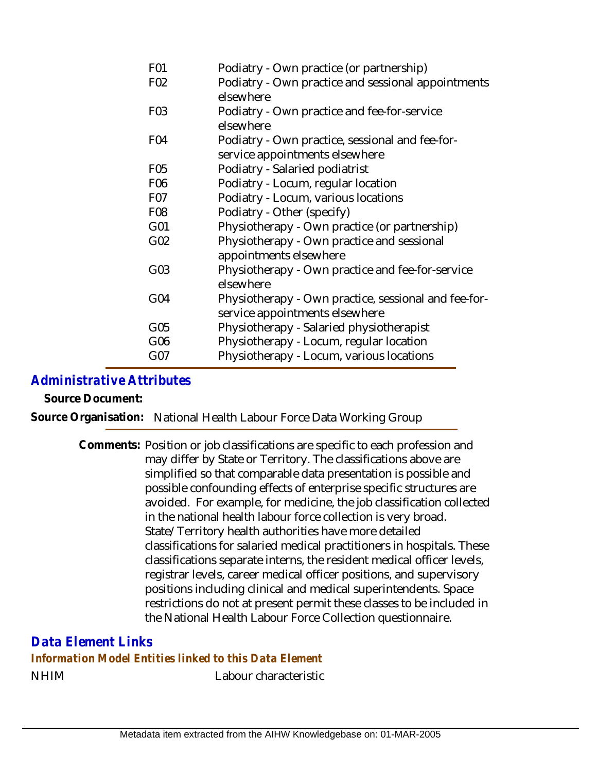| F <sub>01</sub>  | Podiatry - Own practice (or partnership)                        |
|------------------|-----------------------------------------------------------------|
| F <sub>02</sub>  | Podiatry - Own practice and sessional appointments<br>elsewhere |
| F <sub>0</sub> 3 | Podiatry - Own practice and fee-for-service<br>elsewhere        |
| F04              | Podiatry - Own practice, sessional and fee-for-                 |
|                  | service appointments elsewhere                                  |
| F <sub>05</sub>  | Podiatry - Salaried podiatrist                                  |
| F <sub>06</sub>  | Podiatry - Locum, regular location                              |
| F07              | Podiatry - Locum, various locations                             |
| F <sub>08</sub>  | Podiatry - Other (specify)                                      |
| G01              | Physiotherapy - Own practice (or partnership)                   |
| G02              | Physiotherapy - Own practice and sessional                      |
|                  | appointments elsewhere                                          |
| G03              | Physiotherapy - Own practice and fee-for-service                |
|                  | elsewhere                                                       |
| G04              | Physiotherapy - Own practice, sessional and fee-for-            |
|                  | service appointments elsewhere                                  |
| G05              | Physiotherapy - Salaried physiotherapist                        |
| G06              | Physiotherapy - Locum, regular location                         |
| G07              | Physiotherapy - Locum, various locations                        |
|                  |                                                                 |

## *Administrative Attributes*

**Source Document:**

**Source Organisation:** National Health Labour Force Data Working Group

Comments: Position or job classifications are specific to each profession and may differ by State or Territory. The classifications above are simplified so that comparable data presentation is possible and possible confounding effects of enterprise specific structures are avoided. For example, for medicine, the job classification collected in the national health labour force collection is very broad. State/Territory health authorities have more detailed classifications for salaried medical practitioners in hospitals. These classifications separate interns, the resident medical officer levels, registrar levels, career medical officer positions, and supervisory positions including clinical and medical superintendents. Space restrictions do not at present permit these classes to be included in the National Health Labour Force Collection questionnaire.

NHIM Labour characteristic *Data Element Links Information Model Entities linked to this Data Element*